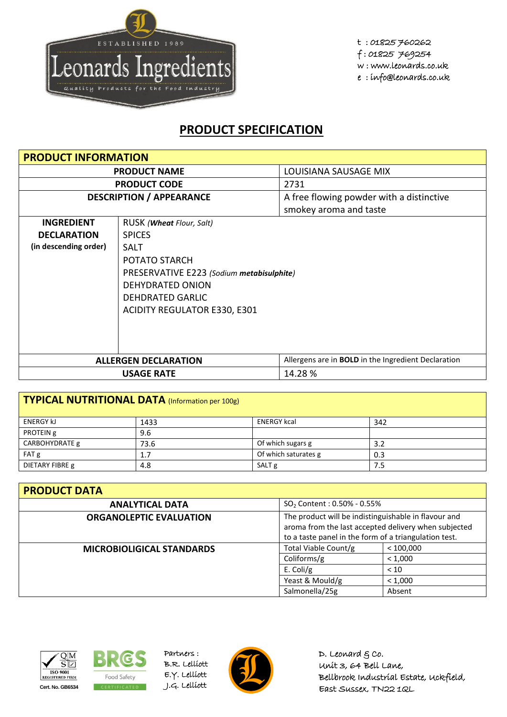

## **PRODUCT SPECIFICATION**

| <b>PRODUCT INFORMATION</b>      |                                           |                                                            |  |  |
|---------------------------------|-------------------------------------------|------------------------------------------------------------|--|--|
| <b>PRODUCT NAME</b>             |                                           | LOUISIANA SAUSAGE MIX                                      |  |  |
|                                 | <b>PRODUCT CODE</b>                       | 2731                                                       |  |  |
| <b>DESCRIPTION / APPEARANCE</b> |                                           | A free flowing powder with a distinctive                   |  |  |
|                                 |                                           | smokey aroma and taste                                     |  |  |
| <b>INGREDIENT</b>               | RUSK ( <b>Wheat</b> Flour, Salt)          |                                                            |  |  |
| <b>DECLARATION</b>              | <b>SPICES</b>                             |                                                            |  |  |
| (in descending order)           | <b>SALT</b>                               |                                                            |  |  |
|                                 | POTATO STARCH                             |                                                            |  |  |
|                                 | PRESERVATIVE E223 (Sodium metabisulphite) |                                                            |  |  |
|                                 | <b>DEHYDRATED ONION</b>                   |                                                            |  |  |
|                                 | <b>DEHDRATED GARLIC</b>                   |                                                            |  |  |
|                                 | <b>ACIDITY REGULATOR E330, E301</b>       |                                                            |  |  |
|                                 |                                           |                                                            |  |  |
|                                 |                                           |                                                            |  |  |
|                                 |                                           |                                                            |  |  |
|                                 | <b>ALLERGEN DECLARATION</b>               | Allergens are in <b>BOLD</b> in the Ingredient Declaration |  |  |
| 14.28%<br><b>USAGE RATE</b>     |                                           |                                                            |  |  |

| TYPICAL NUTRITIONAL DATA (Information per 100g) |      |                      |     |  |
|-------------------------------------------------|------|----------------------|-----|--|
| <b>ENERGY KJ</b>                                | 1433 | <b>ENERGY kcal</b>   | 342 |  |
| PROTEIN g                                       | 9.6  |                      |     |  |
| CARBOHYDRATE g                                  | 73.6 | Of which sugars g    | 3.2 |  |
| FAT g                                           | 1.7  | Of which saturates g | 0.3 |  |
| DIETARY FIBRE g                                 | 4.8  | SALT <sub>g</sub>    | 7.5 |  |

| <b>PRODUCT DATA</b>              |                                                                                                                                                                       |           |  |  |
|----------------------------------|-----------------------------------------------------------------------------------------------------------------------------------------------------------------------|-----------|--|--|
| <b>ANALYTICAL DATA</b>           | $SO_2$ Content : 0.50% - 0.55%                                                                                                                                        |           |  |  |
| <b>ORGANOLEPTIC EVALUATION</b>   | The product will be indistinguishable in flavour and<br>aroma from the last accepted delivery when subjected<br>to a taste panel in the form of a triangulation test. |           |  |  |
| <b>MICROBIOLIGICAL STANDARDS</b> | Total Viable Count/g                                                                                                                                                  | < 100,000 |  |  |
|                                  | Coliforms/g<br>< 1,000                                                                                                                                                |           |  |  |
|                                  | E. Coli/g<br>< 10                                                                                                                                                     |           |  |  |
|                                  | Yeast & Mould/g                                                                                                                                                       | < 1,000   |  |  |
|                                  | Salmonella/25g                                                                                                                                                        | Absent    |  |  |





Partners : B.R. Lelliott E.Y. Lelliott



D. Leonard  $g$  co. Unit 3, 64 Bell Lane, Bellbrook Industrial Estate, Uckfield, East Sussex, TN22 1QL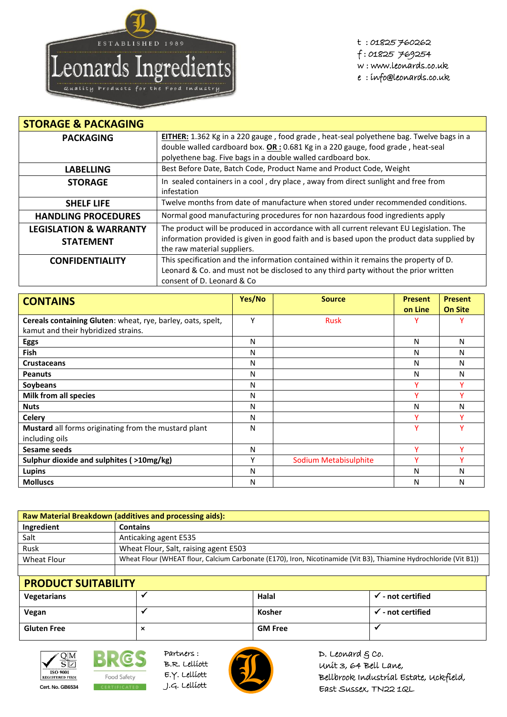

t : 01825 760262 f : 01825 769254 w : www.leonards.co.uk e : info@leonards.co.uk

| <b>STORAGE &amp; PACKAGING</b>    |                                                                                                                           |  |  |
|-----------------------------------|---------------------------------------------------------------------------------------------------------------------------|--|--|
| <b>PACKAGING</b>                  | EITHER: 1.362 Kg in a 220 gauge, food grade, heat-seal polyethene bag. Twelve bags in a                                   |  |  |
|                                   | double walled cardboard box. $OR: 0.681$ Kg in a 220 gauge, food grade, heat-seal                                         |  |  |
|                                   | polyethene bag. Five bags in a double walled cardboard box.                                                               |  |  |
| <b>LABELLING</b>                  | Best Before Date, Batch Code, Product Name and Product Code, Weight                                                       |  |  |
| <b>STORAGE</b>                    | In sealed containers in a cool, dry place, away from direct sunlight and free from<br>infestation                         |  |  |
| <b>SHELF LIFE</b>                 | Twelve months from date of manufacture when stored under recommended conditions.                                          |  |  |
| <b>HANDLING PROCEDURES</b>        | Normal good manufacturing procedures for non hazardous food ingredients apply                                             |  |  |
| <b>LEGISLATION &amp; WARRANTY</b> | The product will be produced in accordance with all current relevant EU Legislation. The                                  |  |  |
| <b>STATEMENT</b>                  | information provided is given in good faith and is based upon the product data supplied by<br>the raw material suppliers. |  |  |
| <b>CONFIDENTIALITY</b>            | This specification and the information contained within it remains the property of D.                                     |  |  |
|                                   | Leonard & Co. and must not be disclosed to any third party without the prior written<br>consent of D. Leonard & Co.       |  |  |

| <b>CONTAINS</b>                                             | Yes/No | <b>Source</b>         | <b>Present</b> | <b>Present</b> |
|-------------------------------------------------------------|--------|-----------------------|----------------|----------------|
|                                                             |        |                       | on Line        | <b>On Site</b> |
| Cereals containing Gluten: wheat, rye, barley, oats, spelt, | Υ      | <b>Rusk</b>           |                |                |
| kamut and their hybridized strains.                         |        |                       |                |                |
| <b>Eggs</b>                                                 | N      |                       | N              | N              |
| <b>Fish</b>                                                 | N      |                       | N              | N              |
| <b>Crustaceans</b>                                          | N      |                       | N              | N              |
| <b>Peanuts</b>                                              | N      |                       | N              | N              |
| Soybeans                                                    | N      |                       | v              |                |
| Milk from all species                                       | N      |                       | v              | v              |
| <b>Nuts</b>                                                 | N      |                       | N              | N              |
| <b>Celery</b>                                               | N      |                       | ۷              | v              |
| Mustard all forms originating from the mustard plant        | N      |                       | Y              | v              |
| including oils                                              |        |                       |                |                |
| Sesame seeds                                                | N      |                       | v              | v              |
| Sulphur dioxide and sulphites (>10mg/kg)                    | Υ      | Sodium Metabisulphite | v              | v              |
| <b>Lupins</b>                                               | N      |                       | N              | N              |
| <b>Molluscs</b>                                             | N      |                       | N              | Ν              |

| <b>Raw Material Breakdown (additives and processing aids):</b> |                                                                                                                   |  |  |
|----------------------------------------------------------------|-------------------------------------------------------------------------------------------------------------------|--|--|
| Ingredient                                                     | <b>Contains</b>                                                                                                   |  |  |
| Salt                                                           | Anticaking agent E535                                                                                             |  |  |
| Rusk                                                           | Wheat Flour, Salt, raising agent E503                                                                             |  |  |
| Wheat Flour                                                    | Wheat Flour (WHEAT flour, Calcium Carbonate (E170), Iron, Nicotinamide (Vit B3), Thiamine Hydrochloride (Vit B1)) |  |  |
|                                                                |                                                                                                                   |  |  |

| <b>PRODUCT SUITABILITY</b> |   |                |                 |  |
|----------------------------|---|----------------|-----------------|--|
| Vegetarians                |   | Halal          | - not certified |  |
| Vegan                      |   | Kosher         | - not certified |  |
| <b>Gluten Free</b>         | ⌒ | <b>GM Free</b> |                 |  |



**BRG** Food Safety **Cert. No. GB6534** CERTIFICATED J.G. Lelliott

Partners : B.R. Lelliott E.Y. Lelliott



D. Leonard  $g$  co. Unit 3, 64 Bell Lane, Bellbrook Industrial Estate, Uckfield, East Sussex, TN22 1QL